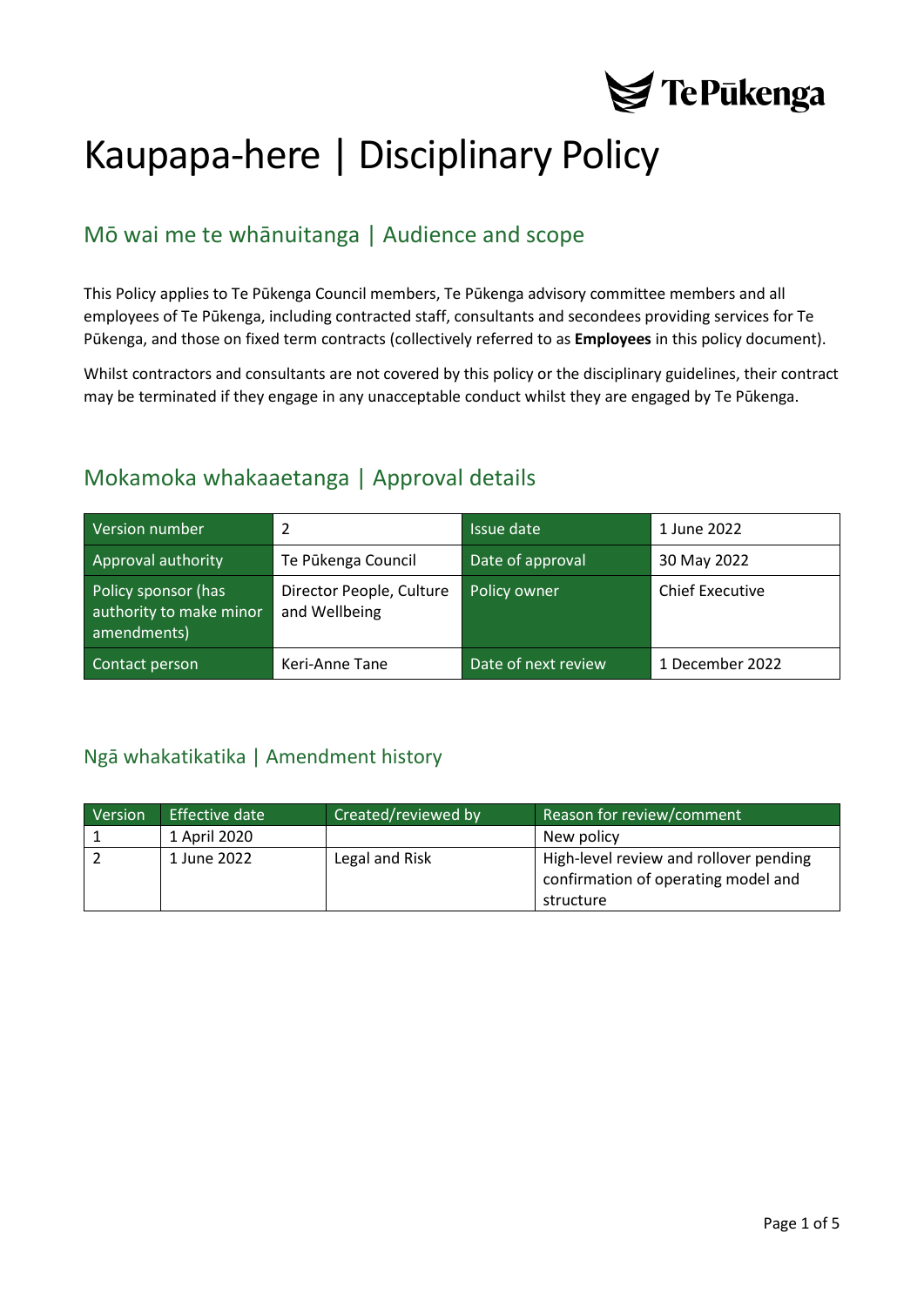

# Kaupapa-here | Disciplinary Policy

# Mō wai me te whānuitanga | Audience and scope

This Policy applies to Te Pūkenga Council members, Te Pūkenga advisory committee members and all employees of Te Pūkenga, including contracted staff, consultants and secondees providing services for Te Pūkenga, and those on fixed term contracts (collectively referred to as **Employees** in this policy document).

Whilst contractors and consultants are not covered by this policy or the disciplinary guidelines, their contract may be terminated if they engage in any unacceptable conduct whilst they are engaged by Te Pūkenga.

## Mokamoka whakaaetanga | Approval details

| Version number                                                | 2                                         | Issue date          | 1 June 2022            |
|---------------------------------------------------------------|-------------------------------------------|---------------------|------------------------|
| Approval authority                                            | Te Pūkenga Council                        | Date of approval    | 30 May 2022            |
| Policy sponsor (has<br>authority to make minor<br>amendments) | Director People, Culture<br>and Wellbeing | Policy owner        | <b>Chief Executive</b> |
| Contact person                                                | Keri-Anne Tane                            | Date of next review | 1 December 2022        |

### <span id="page-0-0"></span>Ngā whakatikatika | Amendment history

| Version | Effective date | Created/reviewed by | Reason for review/comment                                                     |
|---------|----------------|---------------------|-------------------------------------------------------------------------------|
|         | 1 April 2020   |                     | New policy                                                                    |
|         | 1 June 2022    | Legal and Risk      | High-level review and rollover pending<br>confirmation of operating model and |
|         |                |                     | structure                                                                     |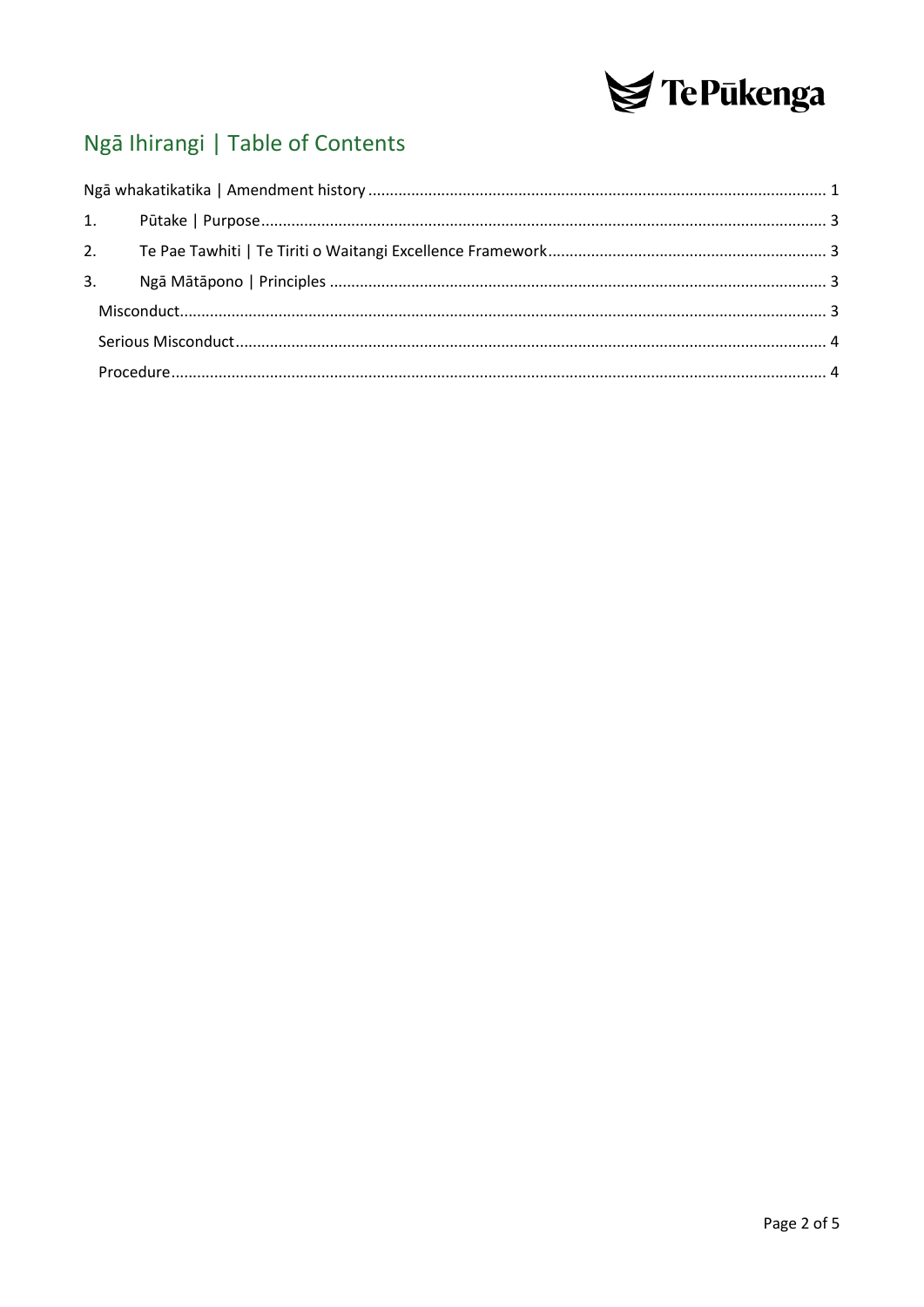

# Ngā Ihirangi | Table of Contents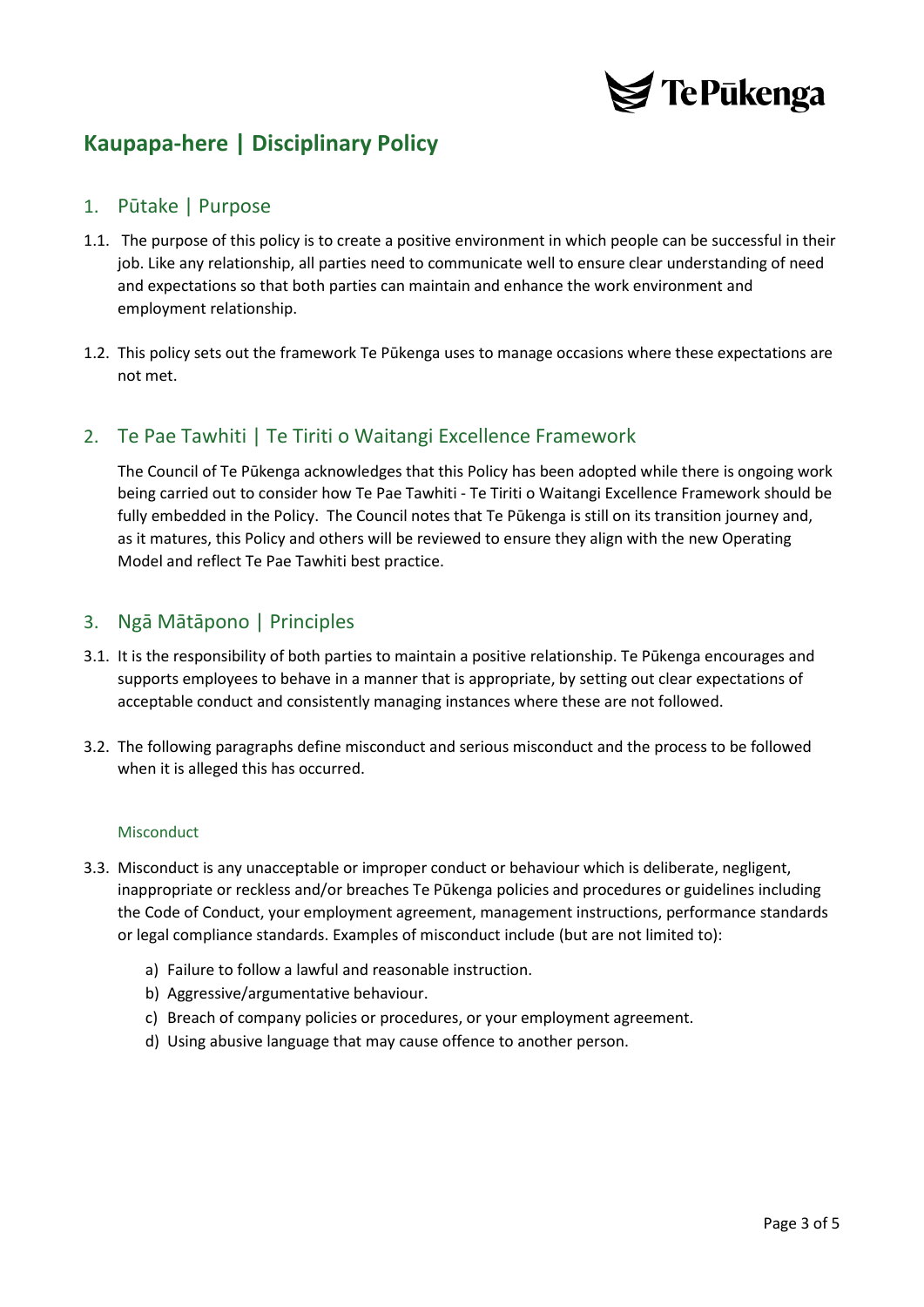

# **Kaupapa-here | Disciplinary Policy**

#### <span id="page-2-0"></span>1. Pūtake | Purpose

- 1.1. The purpose of this policy is to create a positive environment in which people can be successful in their job. Like any relationship, all parties need to communicate well to ensure clear understanding of need and expectations so that both parties can maintain and enhance the work environment and employment relationship.
- 1.2. This policy sets out the framework Te Pūkenga uses to manage occasions where these expectations are not met.

#### <span id="page-2-1"></span>2. Te Pae Tawhiti | Te Tiriti o Waitangi Excellence Framework

The Council of Te Pūkenga acknowledges that this Policy has been adopted while there is ongoing work being carried out to consider how Te Pae Tawhiti - Te Tiriti o Waitangi Excellence Framework should be fully embedded in the Policy. The Council notes that Te Pūkenga is still on its transition journey and, as it matures, this Policy and others will be reviewed to ensure they align with the new Operating Model and reflect Te Pae Tawhiti best practice.

#### <span id="page-2-2"></span>3. Ngā Mātāpono | Principles

- 3.1. It is the responsibility of both parties to maintain a positive relationship. Te Pūkenga encourages and supports employees to behave in a manner that is appropriate, by setting out clear expectations of acceptable conduct and consistently managing instances where these are not followed.
- 3.2. The following paragraphs define misconduct and serious misconduct and the process to be followed when it is alleged this has occurred.

#### **Misconduct**

- <span id="page-2-3"></span>3.3. Misconduct is any unacceptable or improper conduct or behaviour which is deliberate, negligent, inappropriate or reckless and/or breaches Te Pūkenga policies and procedures or guidelines including the Code of Conduct, your employment agreement, management instructions, performance standards or legal compliance standards. Examples of misconduct include (but are not limited to):
	- a) Failure to follow a lawful and reasonable instruction.
	- b) Aggressive/argumentative behaviour.
	- c) Breach of company policies or procedures, or your employment agreement.
	- d) Using abusive language that may cause offence to another person.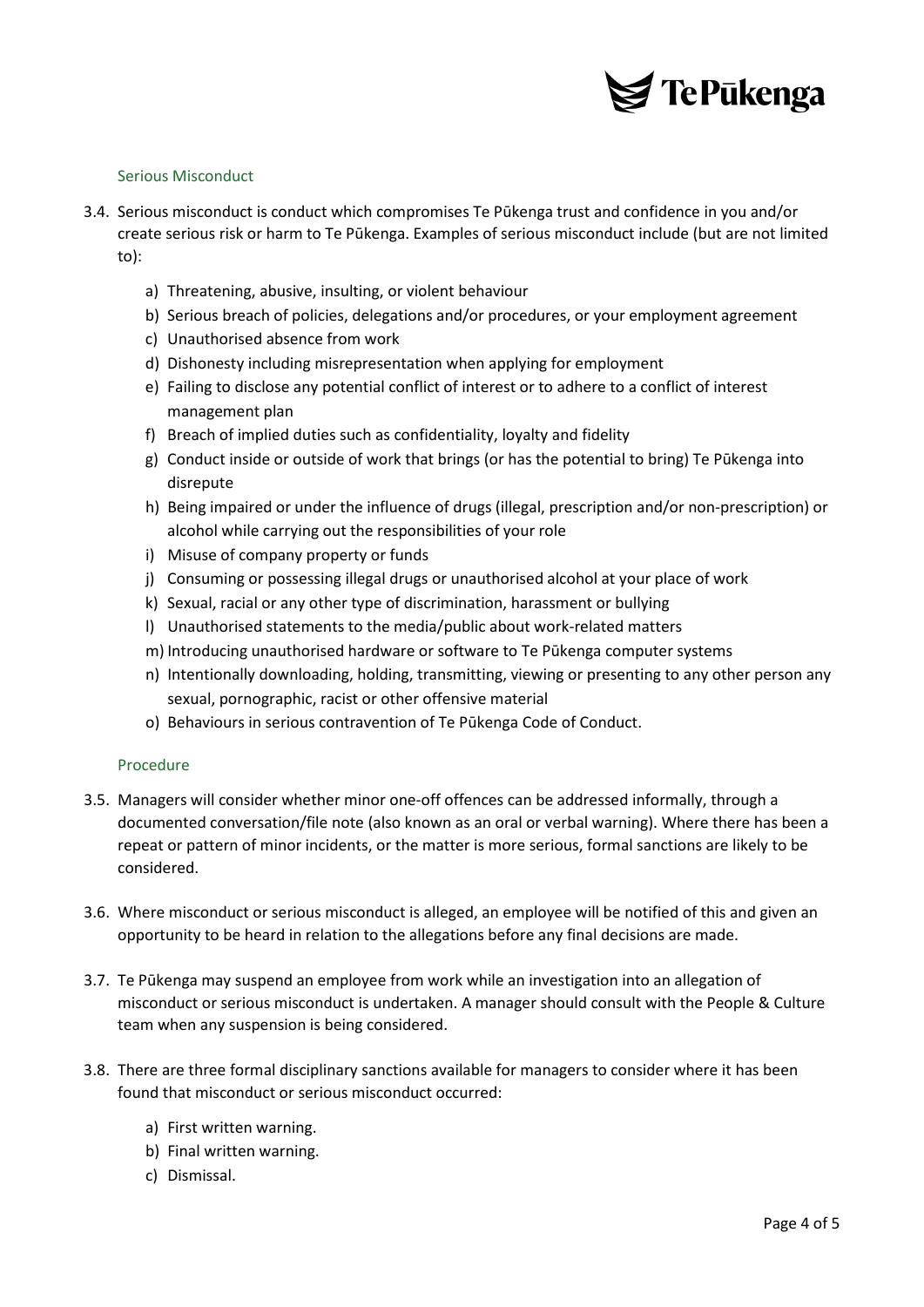

#### <span id="page-3-0"></span>Serious Misconduct

- 3.4. Serious misconduct is conduct which compromises Te Pūkenga trust and confidence in you and/or create serious risk or harm to Te Pūkenga. Examples of serious misconduct include (but are not limited to):
	- a) Threatening, abusive, insulting, or violent behaviour
	- b) Serious breach of policies, delegations and/or procedures, or your employment agreement
	- c) Unauthorised absence from work
	- d) Dishonesty including misrepresentation when applying for employment
	- e) Failing to disclose any potential conflict of interest or to adhere to a conflict of interest management plan
	- f) Breach of implied duties such as confidentiality, loyalty and fidelity
	- g) Conduct inside or outside of work that brings (or has the potential to bring) Te Pūkenga into disrepute
	- h) Being impaired or under the influence of drugs (illegal, prescription and/or non-prescription) or alcohol while carrying out the responsibilities of your role
	- i) Misuse of company property or funds
	- j) Consuming or possessing illegal drugs or unauthorised alcohol at your place of work
	- k) Sexual, racial or any other type of discrimination, harassment or bullying
	- l) Unauthorised statements to the media/public about work-related matters
	- m) Introducing unauthorised hardware or software to Te Pūkenga computer systems
	- n) Intentionally downloading, holding, transmitting, viewing or presenting to any other person any sexual, pornographic, racist or other offensive material
	- o) Behaviours in serious contravention of Te Pūkenga Code of Conduct.

#### <span id="page-3-1"></span>Procedure

- 3.5. Managers will consider whether minor one-off offences can be addressed informally, through a documented conversation/file note (also known as an oral or verbal warning). Where there has been a repeat or pattern of minor incidents, or the matter is more serious, formal sanctions are likely to be considered.
- 3.6. Where misconduct or serious misconduct is alleged, an employee will be notified of this and given an opportunity to be heard in relation to the allegations before any final decisions are made.
- 3.7. Te Pūkenga may suspend an employee from work while an investigation into an allegation of misconduct or serious misconduct is undertaken. A manager should consult with the People & Culture team when any suspension is being considered.
- 3.8. There are three formal disciplinary sanctions available for managers to consider where it has been found that misconduct or serious misconduct occurred:
	- a) First written warning.
	- b) Final written warning.
	- c) Dismissal.